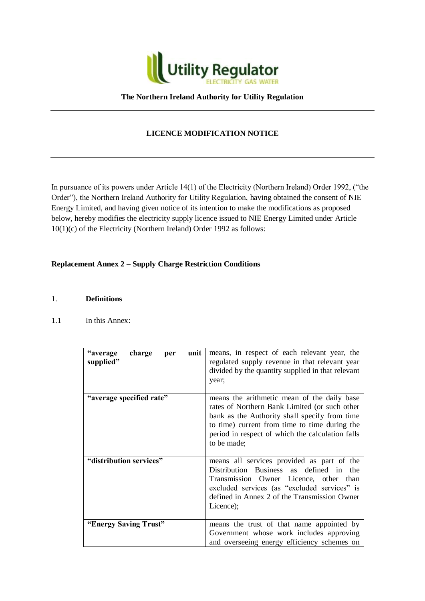

### **The Northern Ireland Authority for Utility Regulation**

# **LICENCE MODIFICATION NOTICE**

In pursuance of its powers under Article 14(1) of the Electricity (Northern Ireland) Order 1992, ("the Order"), the Northern Ireland Authority for Utility Regulation, having obtained the consent of NIE Energy Limited, and having given notice of its intention to make the modifications as proposed below, hereby modifies the electricity supply licence issued to NIE Energy Limited under Article 10(1)(c) of the Electricity (Northern Ireland) Order 1992 as follows:

### **Replacement Annex 2 – Supply Charge Restriction Conditions**

### 1. **Definitions**

1.1 In this Annex:

| "average<br>charge<br>unit<br>per<br>supplied" | means, in respect of each relevant year, the<br>regulated supply revenue in that relevant year<br>divided by the quantity supplied in that relevant<br>year;                                                                                                      |
|------------------------------------------------|-------------------------------------------------------------------------------------------------------------------------------------------------------------------------------------------------------------------------------------------------------------------|
| "average specified rate"                       | means the arithmetic mean of the daily base<br>rates of Northern Bank Limited (or such other<br>bank as the Authority shall specify from time<br>to time) current from time to time during the<br>period in respect of which the calculation falls<br>to be made; |
| "distribution services"                        | means all services provided as part of the<br>Distribution Business as defined in the<br>Transmission Owner Licence, other<br>than<br>excluded services (as "excluded services" is<br>defined in Annex 2 of the Transmission Owner<br>Licence);                   |
| "Energy Saving Trust"                          | means the trust of that name appointed by<br>Government whose work includes approving<br>and overseeing energy efficiency schemes on                                                                                                                              |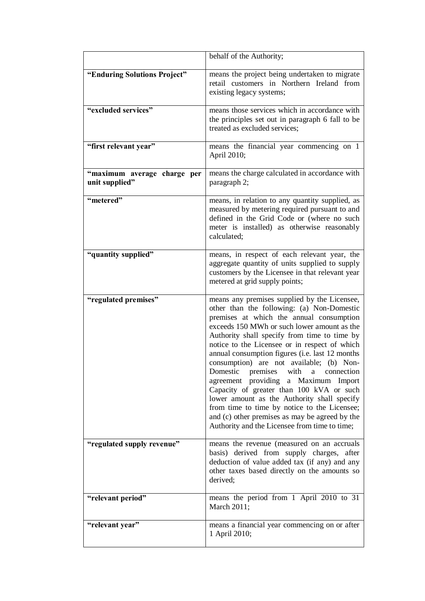|                                               | behalf of the Authority;                                                                                                                                                                                                                                                                                                                                                                                                                                                                                                                                                                                                                                                                                           |
|-----------------------------------------------|--------------------------------------------------------------------------------------------------------------------------------------------------------------------------------------------------------------------------------------------------------------------------------------------------------------------------------------------------------------------------------------------------------------------------------------------------------------------------------------------------------------------------------------------------------------------------------------------------------------------------------------------------------------------------------------------------------------------|
| "Enduring Solutions Project"                  | means the project being undertaken to migrate<br>retail customers in Northern Ireland from<br>existing legacy systems;                                                                                                                                                                                                                                                                                                                                                                                                                                                                                                                                                                                             |
| "excluded services"                           | means those services which in accordance with<br>the principles set out in paragraph 6 fall to be<br>treated as excluded services;                                                                                                                                                                                                                                                                                                                                                                                                                                                                                                                                                                                 |
| "first relevant year"                         | means the financial year commencing on 1<br>April 2010;                                                                                                                                                                                                                                                                                                                                                                                                                                                                                                                                                                                                                                                            |
| "maximum average charge per<br>unit supplied" | means the charge calculated in accordance with<br>paragraph 2;                                                                                                                                                                                                                                                                                                                                                                                                                                                                                                                                                                                                                                                     |
| "metered"                                     | means, in relation to any quantity supplied, as<br>measured by metering required pursuant to and<br>defined in the Grid Code or (where no such<br>meter is installed) as otherwise reasonably<br>calculated;                                                                                                                                                                                                                                                                                                                                                                                                                                                                                                       |
| "quantity supplied"                           | means, in respect of each relevant year, the<br>aggregate quantity of units supplied to supply<br>customers by the Licensee in that relevant year<br>metered at grid supply points;                                                                                                                                                                                                                                                                                                                                                                                                                                                                                                                                |
| "regulated premises"                          | means any premises supplied by the Licensee,<br>other than the following: (a) Non-Domestic<br>premises at which the annual consumption<br>exceeds 150 MWh or such lower amount as the<br>Authority shall specify from time to time by<br>notice to the Licensee or in respect of which<br>annual consumption figures (i.e. last 12 months<br>consumption) are not available; (b) Non-<br>Domestic premises with a connection<br>agreement providing a Maximum Import<br>Capacity of greater than 100 kVA or such<br>lower amount as the Authority shall specify<br>from time to time by notice to the Licensee;<br>and (c) other premises as may be agreed by the<br>Authority and the Licensee from time to time; |
| "regulated supply revenue"                    | means the revenue (measured on an accruals<br>basis) derived from supply charges, after<br>deduction of value added tax (if any) and any<br>other taxes based directly on the amounts so<br>derived;                                                                                                                                                                                                                                                                                                                                                                                                                                                                                                               |
| "relevant period"                             | means the period from 1 April 2010 to 31<br>March 2011;                                                                                                                                                                                                                                                                                                                                                                                                                                                                                                                                                                                                                                                            |
| "relevant year"                               | means a financial year commencing on or after<br>1 April 2010;                                                                                                                                                                                                                                                                                                                                                                                                                                                                                                                                                                                                                                                     |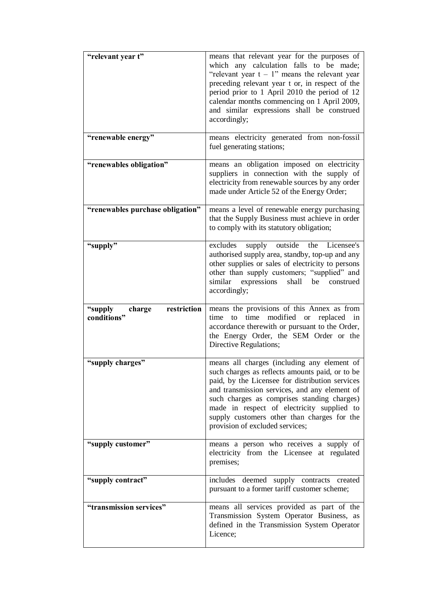| "relevant year t"                               | means that relevant year for the purposes of<br>which any calculation falls to be made;<br>"relevant year $t - 1$ " means the relevant year<br>preceding relevant year t or, in respect of the<br>period prior to 1 April 2010 the period of 12<br>calendar months commencing on 1 April 2009,<br>and similar expressions shall be construed<br>accordingly;                      |
|-------------------------------------------------|-----------------------------------------------------------------------------------------------------------------------------------------------------------------------------------------------------------------------------------------------------------------------------------------------------------------------------------------------------------------------------------|
| "renewable energy"                              | means electricity generated from non-fossil<br>fuel generating stations;                                                                                                                                                                                                                                                                                                          |
| "renewables obligation"                         | means an obligation imposed on electricity<br>suppliers in connection with the supply of<br>electricity from renewable sources by any order<br>made under Article 52 of the Energy Order;                                                                                                                                                                                         |
| "renewables purchase obligation"                | means a level of renewable energy purchasing<br>that the Supply Business must achieve in order<br>to comply with its statutory obligation;                                                                                                                                                                                                                                        |
| "supply"                                        | excludes supply outside<br>the Licensee's<br>authorised supply area, standby, top-up and any<br>other supplies or sales of electricity to persons<br>other than supply customers; "supplied" and<br>similar<br>expressions<br>shall<br>be<br>construed<br>accordingly;                                                                                                            |
| restriction<br>"supply<br>charge<br>conditions" | means the provisions of this Annex as from<br>modified<br>replaced<br>time<br>time<br>to<br><sub>or</sub><br>in<br>accordance therewith or pursuant to the Order,<br>the Energy Order, the SEM Order or the<br>Directive Regulations;                                                                                                                                             |
| "supply charges"                                | means all charges (including any element of<br>such charges as reflects amounts paid, or to be<br>paid, by the Licensee for distribution services<br>and transmission services, and any element of<br>such charges as comprises standing charges)<br>made in respect of electricity supplied to<br>supply customers other than charges for the<br>provision of excluded services; |
| "supply customer"                               | means a person who receives a supply of<br>electricity from the Licensee at regulated<br>premises;                                                                                                                                                                                                                                                                                |
| "supply contract"                               | includes deemed supply contracts<br>created<br>pursuant to a former tariff customer scheme;                                                                                                                                                                                                                                                                                       |
| "transmission services"                         | means all services provided as part of the<br>Transmission System Operator Business, as<br>defined in the Transmission System Operator<br>Licence;                                                                                                                                                                                                                                |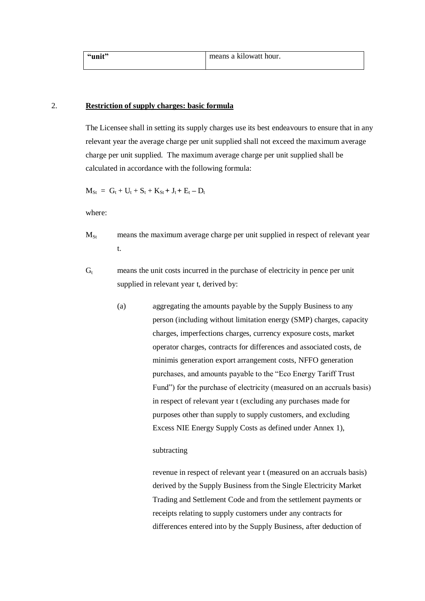| "unit" | means a kilowatt hour. |
|--------|------------------------|
|        |                        |

### 2. **Restriction of supply charges: basic formula**

The Licensee shall in setting its supply charges use its best endeavours to ensure that in any relevant year the average charge per unit supplied shall not exceed the maximum average charge per unit supplied. The maximum average charge per unit supplied shall be calculated in accordance with the following formula:

 $M_{St} = G_t + U_t + S_t + K_{St} + J_t + E_t - D_t$ 

where:

- $M<sub>St</sub>$  means the maximum average charge per unit supplied in respect of relevant year t.
- $G_t$  means the unit costs incurred in the purchase of electricity in pence per unit supplied in relevant year t, derived by:
	- (a) aggregating the amounts payable by the Supply Business to any person (including without limitation energy (SMP) charges, capacity charges, imperfections charges, currency exposure costs, market operator charges, contracts for differences and associated costs, de minimis generation export arrangement costs, NFFO generation purchases, and amounts payable to the "Eco Energy Tariff Trust Fund") for the purchase of electricity (measured on an accruals basis) in respect of relevant year t (excluding any purchases made for purposes other than supply to supply customers, and excluding Excess NIE Energy Supply Costs as defined under Annex 1),

#### subtracting

revenue in respect of relevant year t (measured on an accruals basis) derived by the Supply Business from the Single Electricity Market Trading and Settlement Code and from the settlement payments or receipts relating to supply customers under any contracts for differences entered into by the Supply Business, after deduction of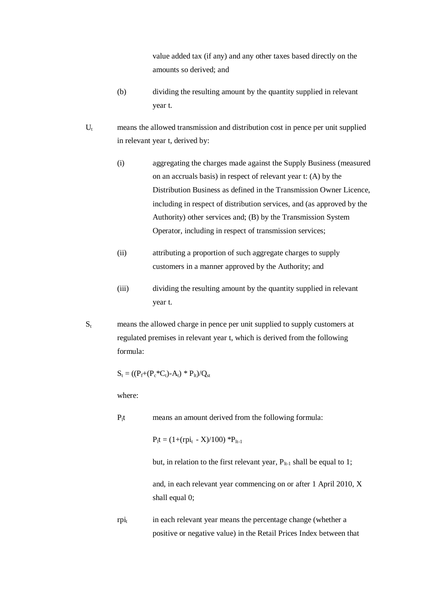value added tax (if any) and any other taxes based directly on the amounts so derived; and

- (b) dividing the resulting amount by the quantity supplied in relevant year t.
- $U_t$  means the allowed transmission and distribution cost in pence per unit supplied in relevant year t, derived by:
	- (i) aggregating the charges made against the Supply Business (measured on an accruals basis) in respect of relevant year t: (A) by the Distribution Business as defined in the Transmission Owner Licence, including in respect of distribution services, and (as approved by the Authority) other services and; (B) by the Transmission System Operator, including in respect of transmission services;
	- (ii) attributing a proportion of such aggregate charges to supply customers in a manner approved by the Authority; and
	- (iii) dividing the resulting amount by the quantity supplied in relevant year t.
- $S<sub>t</sub>$  means the allowed charge in pence per unit supplied to supply customers at regulated premises in relevant year t, which is derived from the following formula:

$$
S_t = ((P_{\rm f} \!+\! (P_{\rm c} \!*\! C_t)\text{-} A_t) \,*\, P_{\rm lt})/Q_{\rm st}
$$

where:

 $P_1t$  means an amount derived from the following formula:

 $P_1t = (1+(rpi_t - X)/100) *P_{1t-1}$ 

but, in relation to the first relevant year,  $P_{lt-1}$  shall be equal to 1;

and, in each relevant year commencing on or after 1 April 2010, X shall equal 0:

 $rpi_t$  in each relevant year means the percentage change (whether a positive or negative value) in the Retail Prices Index between that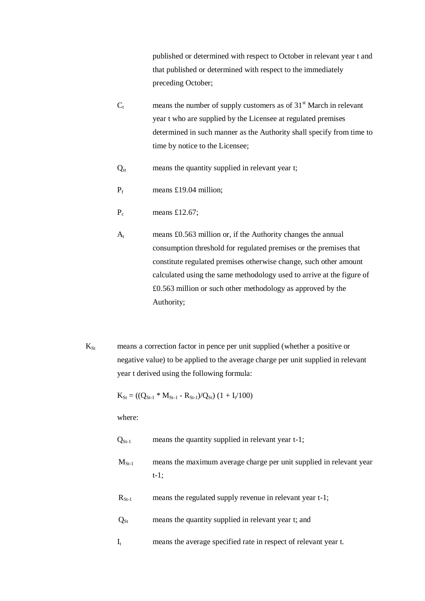published or determined with respect to October in relevant year t and that published or determined with respect to the immediately preceding October;

- $C_t$  means the number of supply customers as of 31<sup>st</sup> March in relevant year t who are supplied by the Licensee at regulated premises determined in such manner as the Authority shall specify from time to time by notice to the Licensee;
- $Q<sub>st</sub>$  means the quantity supplied in relevant year t;
- $P_f$  means £19.04 million;
- $P_c$  means £12.67;
- $A_t$  means £0.563 million or, if the Authority changes the annual consumption threshold for regulated premises or the premises that constitute regulated premises otherwise change, such other amount calculated using the same methodology used to arrive at the figure of £0.563 million or such other methodology as approved by the Authority;
- $K_{St}$  means a correction factor in pence per unit supplied (whether a positive or negative value) to be applied to the average charge per unit supplied in relevant year t derived using the following formula:

 $K_{St} = ((Q_{St-1} * M_{St-1} - R_{St-1})/Q_{St}) (1 + I_t/100)$ 

where:

- $Q_{St-1}$  means the quantity supplied in relevant year t-1;
- $M<sub>St-1</sub>$  means the maximum average charge per unit supplied in relevant year t-1;
- $R_{S_{t-1}}$  means the regulated supply revenue in relevant year t-1;
- $Q_{St}$  means the quantity supplied in relevant year t; and
- $I_t$  means the average specified rate in respect of relevant year t.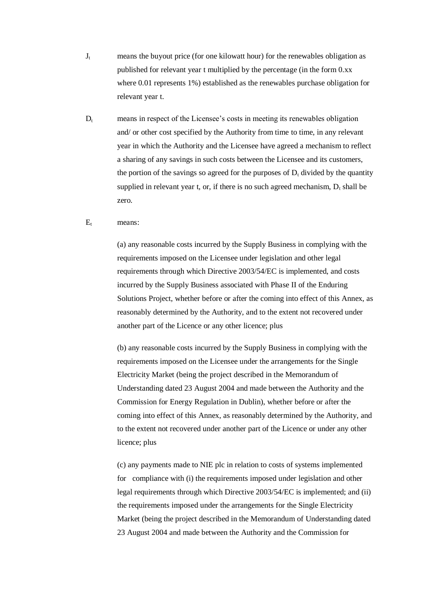- $J_t$  means the buyout price (for one kilowatt hour) for the renewables obligation as published for relevant year t multiplied by the percentage (in the form 0.xx where 0.01 represents 1%) established as the renewables purchase obligation for relevant year t.
- $D_t$  means in respect of the Licensee's costs in meeting its renewables obligation and/ or other cost specified by the Authority from time to time, in any relevant year in which the Authority and the Licensee have agreed a mechanism to reflect a sharing of any savings in such costs between the Licensee and its customers, the portion of the savings so agreed for the purposes of  $D_t$  divided by the quantity supplied in relevant year t, or, if there is no such agreed mechanism,  $D_t$  shall be zero.

#### $E_t$  means:

(a) any reasonable costs incurred by the Supply Business in complying with the requirements imposed on the Licensee under legislation and other legal requirements through which Directive 2003/54/EC is implemented, and costs incurred by the Supply Business associated with Phase II of the Enduring Solutions Project, whether before or after the coming into effect of this Annex, as reasonably determined by the Authority, and to the extent not recovered under another part of the Licence or any other licence; plus

(b) any reasonable costs incurred by the Supply Business in complying with the requirements imposed on the Licensee under the arrangements for the Single Electricity Market (being the project described in the Memorandum of Understanding dated 23 August 2004 and made between the Authority and the Commission for Energy Regulation in Dublin), whether before or after the coming into effect of this Annex, as reasonably determined by the Authority, and to the extent not recovered under another part of the Licence or under any other licence; plus

(c) any payments made to NIE plc in relation to costs of systems implemented for compliance with (i) the requirements imposed under legislation and other legal requirements through which Directive 2003/54/EC is implemented; and (ii) the requirements imposed under the arrangements for the Single Electricity Market (being the project described in the Memorandum of Understanding dated 23 August 2004 and made between the Authority and the Commission for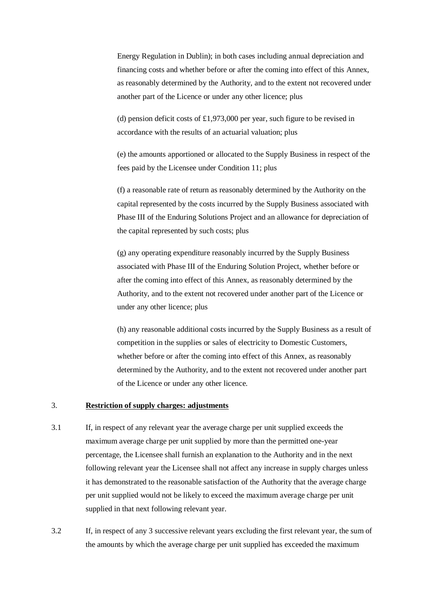Energy Regulation in Dublin); in both cases including annual depreciation and financing costs and whether before or after the coming into effect of this Annex, as reasonably determined by the Authority, and to the extent not recovered under another part of the Licence or under any other licence; plus

(d) pension deficit costs of £1,973,000 per year, such figure to be revised in accordance with the results of an actuarial valuation; plus

(e) the amounts apportioned or allocated to the Supply Business in respect of the fees paid by the Licensee under Condition 11; plus

(f) a reasonable rate of return as reasonably determined by the Authority on the capital represented by the costs incurred by the Supply Business associated with Phase III of the Enduring Solutions Project and an allowance for depreciation of the capital represented by such costs; plus

(g) any operating expenditure reasonably incurred by the Supply Business associated with Phase III of the Enduring Solution Project, whether before or after the coming into effect of this Annex, as reasonably determined by the Authority, and to the extent not recovered under another part of the Licence or under any other licence; plus

(h) any reasonable additional costs incurred by the Supply Business as a result of competition in the supplies or sales of electricity to Domestic Customers, whether before or after the coming into effect of this Annex, as reasonably determined by the Authority, and to the extent not recovered under another part of the Licence or under any other licence.

### 3. **Restriction of supply charges: adjustments**

- 3.1 If, in respect of any relevant year the average charge per unit supplied exceeds the maximum average charge per unit supplied by more than the permitted one-year percentage, the Licensee shall furnish an explanation to the Authority and in the next following relevant year the Licensee shall not affect any increase in supply charges unless it has demonstrated to the reasonable satisfaction of the Authority that the average charge per unit supplied would not be likely to exceed the maximum average charge per unit supplied in that next following relevant year.
- 3.2 If, in respect of any 3 successive relevant years excluding the first relevant year, the sum of the amounts by which the average charge per unit supplied has exceeded the maximum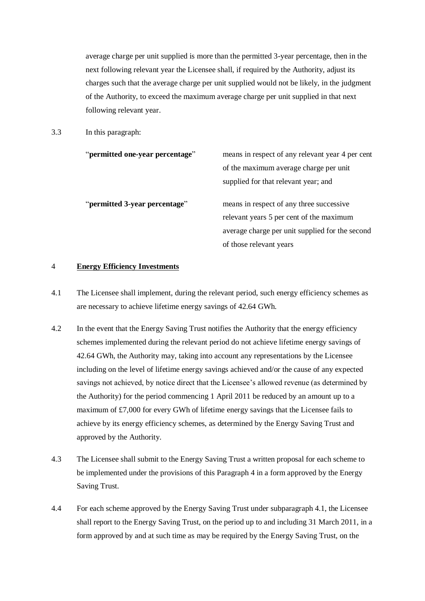average charge per unit supplied is more than the permitted 3-year percentage, then in the next following relevant year the Licensee shall, if required by the Authority, adjust its charges such that the average charge per unit supplied would not be likely, in the judgment of the Authority, to exceed the maximum average charge per unit supplied in that next following relevant year.

3.3 In this paragraph:

| "permitted one-year percentage" | means in respect of any relevant year 4 per cent |
|---------------------------------|--------------------------------------------------|
|                                 | of the maximum average charge per unit           |
|                                 | supplied for that relevant year; and             |
| "permitted 3-year percentage"   | means in respect of any three successive         |
|                                 | relevant years 5 per cent of the maximum         |
|                                 | average charge per unit supplied for the second  |
|                                 | of those relevant years                          |

#### 4 **Energy Efficiency Investments**

- 4.1 The Licensee shall implement, during the relevant period, such energy efficiency schemes as are necessary to achieve lifetime energy savings of 42.64 GWh.
- 4.2 In the event that the Energy Saving Trust notifies the Authority that the energy efficiency schemes implemented during the relevant period do not achieve lifetime energy savings of 42.64 GWh, the Authority may, taking into account any representations by the Licensee including on the level of lifetime energy savings achieved and/or the cause of any expected savings not achieved, by notice direct that the Licensee's allowed revenue (as determined by the Authority) for the period commencing 1 April 2011 be reduced by an amount up to a maximum of £7,000 for every GWh of lifetime energy savings that the Licensee fails to achieve by its energy efficiency schemes, as determined by the Energy Saving Trust and approved by the Authority.
- 4.3 The Licensee shall submit to the Energy Saving Trust a written proposal for each scheme to be implemented under the provisions of this Paragraph 4 in a form approved by the Energy Saving Trust.
- 4.4 For each scheme approved by the Energy Saving Trust under subparagraph 4.1, the Licensee shall report to the Energy Saving Trust, on the period up to and including 31 March 2011, in a form approved by and at such time as may be required by the Energy Saving Trust, on the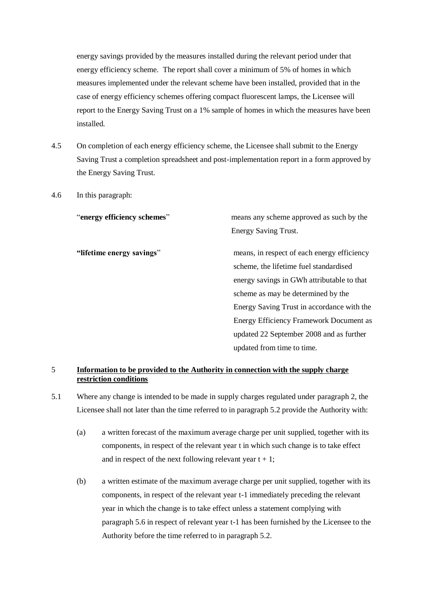energy savings provided by the measures installed during the relevant period under that energy efficiency scheme. The report shall cover a minimum of 5% of homes in which measures implemented under the relevant scheme have been installed, provided that in the case of energy efficiency schemes offering compact fluorescent lamps, the Licensee will report to the Energy Saving Trust on a 1% sample of homes in which the measures have been installed.

- 4.5 On completion of each energy efficiency scheme, the Licensee shall submit to the Energy Saving Trust a completion spreadsheet and post-implementation report in a form approved by the Energy Saving Trust.
- 4.6 In this paragraph:

"**energy efficiency schemes**" means any scheme approved as such by the Energy Saving Trust.

**"lifetime energy savings**" means, in respect of each energy efficiency scheme, the lifetime fuel standardised energy savings in GWh attributable to that scheme as may be determined by the Energy Saving Trust in accordance with the Energy Efficiency Framework Document as updated 22 September 2008 and as further updated from time to time.

### 5 **Information to be provided to the Authority in connection with the supply charge restriction conditions**

- 5.1 Where any change is intended to be made in supply charges regulated under paragraph 2, the Licensee shall not later than the time referred to in paragraph 5.2 provide the Authority with:
	- (a) a written forecast of the maximum average charge per unit supplied, together with its components, in respect of the relevant year t in which such change is to take effect and in respect of the next following relevant year  $t + 1$ ;
	- (b) a written estimate of the maximum average charge per unit supplied, together with its components, in respect of the relevant year t-1 immediately preceding the relevant year in which the change is to take effect unless a statement complying with paragraph 5.6 in respect of relevant year t-1 has been furnished by the Licensee to the Authority before the time referred to in paragraph 5.2.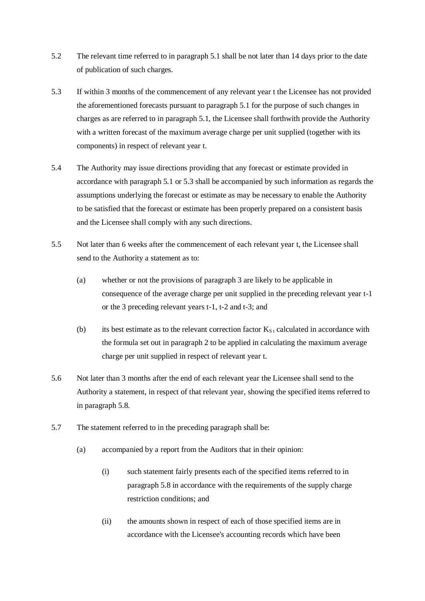- 5.2 The relevant time referred to in paragraph 5.1 shall be not later than 14 days prior to the date of publication of such charges.
- 5.3 If within 3 months of the commencement of any relevant year t the Licensee has not provided the aforementioned forecasts pursuant to paragraph 5.1 for the purpose of such changes in charges as are referred to in paragraph 5.1, the Licensee shall forthwith provide the Authority with a written forecast of the maximum average charge per unit supplied (together with its components) in respect of relevant year t.
- 5.4 The Authority may issue directions providing that any forecast or estimate provided in accordance with paragraph 5.1 or 5.3 shall be accompanied by such information as regards the assumptions underlying the forecast or estimate as may be necessary to enable the Authority to be satisfied that the forecast or estimate has been properly prepared on a consistent basis and the Licensee shall comply with any such directions.
- 5.5 Not later than 6 weeks after the commencement of each relevant year t, the Licensee shall send to the Authority a statement as to:
	- (a) whether or not the provisions of paragraph 3 are likely to be applicable in consequence of the average charge per unit supplied in the preceding relevant year t-1 or the 3 preceding relevant years t-1, t-2 and t-3; and
	- (b) its best estimate as to the relevant correction factor  $K_{S_t}$  calculated in accordance with the formula set out in paragraph 2 to be applied in calculating the maximum average charge per unit supplied in respect of relevant year t.
- 5.6 Not later than 3 months after the end of each relevant year the Licensee shall send to the Authority a statement, in respect of that relevant year, showing the specified items referred to in paragraph 5.8.
- 5.7 The statement referred to in the preceding paragraph shall be:
	- (a) accompanied by a report from the Auditors that in their opinion:
		- (i) such statement fairly presents each of the specified items referred to in paragraph 5.8 in accordance with the requirements of the supply charge restriction conditions; and
		- (ii) the amounts shown in respect of each of those specified items are in accordance with the Licensee's accounting records which have been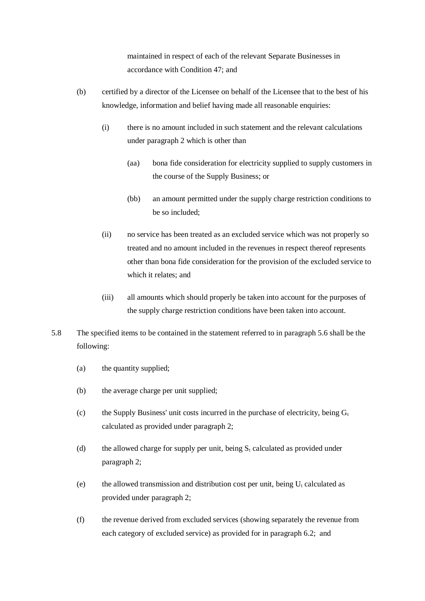maintained in respect of each of the relevant Separate Businesses in accordance with Condition 47; and

- (b) certified by a director of the Licensee on behalf of the Licensee that to the best of his knowledge, information and belief having made all reasonable enquiries:
	- (i) there is no amount included in such statement and the relevant calculations under paragraph 2 which is other than
		- (aa) bona fide consideration for electricity supplied to supply customers in the course of the Supply Business; or
		- (bb) an amount permitted under the supply charge restriction conditions to be so included;
	- (ii) no service has been treated as an excluded service which was not properly so treated and no amount included in the revenues in respect thereof represents other than bona fide consideration for the provision of the excluded service to which it relates; and
	- (iii) all amounts which should properly be taken into account for the purposes of the supply charge restriction conditions have been taken into account.
- 5.8 The specified items to be contained in the statement referred to in paragraph 5.6 shall be the following:
	- (a) the quantity supplied;
	- (b) the average charge per unit supplied;
	- (c) the Supply Business' unit costs incurred in the purchase of electricity, being  $G_t$ calculated as provided under paragraph 2;
	- (d) the allowed charge for supply per unit, being  $S_t$  calculated as provided under paragraph 2;
	- (e) the allowed transmission and distribution cost per unit, being  $U_t$  calculated as provided under paragraph 2;
	- (f) the revenue derived from excluded services (showing separately the revenue from each category of excluded service) as provided for in paragraph 6.2; and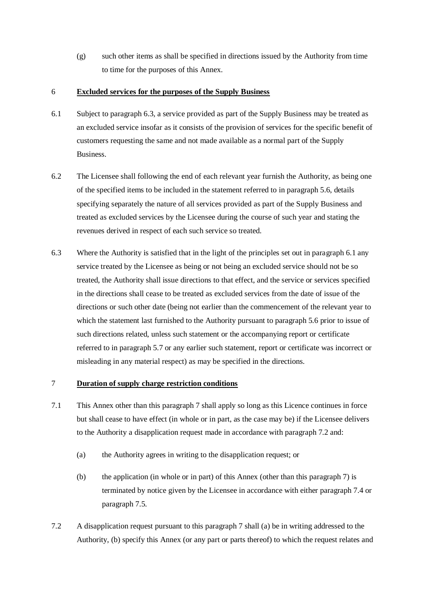(g) such other items as shall be specified in directions issued by the Authority from time to time for the purposes of this Annex.

### 6 **Excluded services for the purposes of the Supply Business**

- 6.1 Subject to paragraph 6.3, a service provided as part of the Supply Business may be treated as an excluded service insofar as it consists of the provision of services for the specific benefit of customers requesting the same and not made available as a normal part of the Supply Business.
- 6.2 The Licensee shall following the end of each relevant year furnish the Authority, as being one of the specified items to be included in the statement referred to in paragraph 5.6, details specifying separately the nature of all services provided as part of the Supply Business and treated as excluded services by the Licensee during the course of such year and stating the revenues derived in respect of each such service so treated.
- 6.3 Where the Authority is satisfied that in the light of the principles set out in paragraph 6.1 any service treated by the Licensee as being or not being an excluded service should not be so treated, the Authority shall issue directions to that effect, and the service or services specified in the directions shall cease to be treated as excluded services from the date of issue of the directions or such other date (being not earlier than the commencement of the relevant year to which the statement last furnished to the Authority pursuant to paragraph 5.6 prior to issue of such directions related, unless such statement or the accompanying report or certificate referred to in paragraph 5.7 or any earlier such statement, report or certificate was incorrect or misleading in any material respect) as may be specified in the directions.

### 7 **Duration of supply charge restriction conditions**

- 7.1 This Annex other than this paragraph 7 shall apply so long as this Licence continues in force but shall cease to have effect (in whole or in part, as the case may be) if the Licensee delivers to the Authority a disapplication request made in accordance with paragraph 7.2 and:
	- (a) the Authority agrees in writing to the disapplication request; or
	- (b) the application (in whole or in part) of this Annex (other than this paragraph 7) is terminated by notice given by the Licensee in accordance with either paragraph 7.4 or paragraph 7.5.
- 7.2 A disapplication request pursuant to this paragraph 7 shall (a) be in writing addressed to the Authority, (b) specify this Annex (or any part or parts thereof) to which the request relates and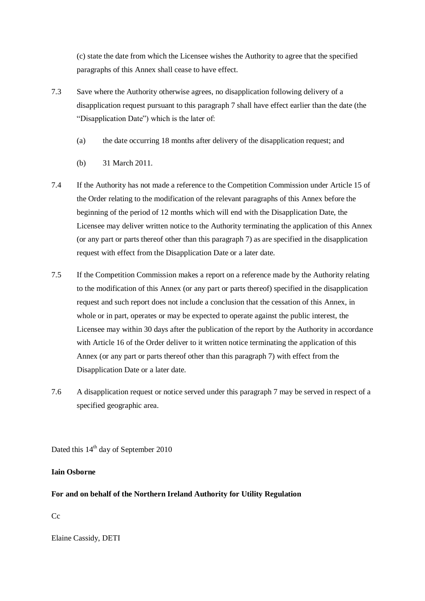(c) state the date from which the Licensee wishes the Authority to agree that the specified paragraphs of this Annex shall cease to have effect.

- 7.3 Save where the Authority otherwise agrees, no disapplication following delivery of a disapplication request pursuant to this paragraph 7 shall have effect earlier than the date (the "Disapplication Date") which is the later of:
	- (a) the date occurring 18 months after delivery of the disapplication request; and
	- (b) 31 March 2011.
- 7.4 If the Authority has not made a reference to the Competition Commission under Article 15 of the Order relating to the modification of the relevant paragraphs of this Annex before the beginning of the period of 12 months which will end with the Disapplication Date, the Licensee may deliver written notice to the Authority terminating the application of this Annex (or any part or parts thereof other than this paragraph 7) as are specified in the disapplication request with effect from the Disapplication Date or a later date.
- 7.5 If the Competition Commission makes a report on a reference made by the Authority relating to the modification of this Annex (or any part or parts thereof) specified in the disapplication request and such report does not include a conclusion that the cessation of this Annex, in whole or in part, operates or may be expected to operate against the public interest, the Licensee may within 30 days after the publication of the report by the Authority in accordance with Article 16 of the Order deliver to it written notice terminating the application of this Annex (or any part or parts thereof other than this paragraph 7) with effect from the Disapplication Date or a later date.
- 7.6 A disapplication request or notice served under this paragraph 7 may be served in respect of a specified geographic area.

Dated this  $14<sup>th</sup>$  day of September 2010

# **Iain Osborne**

# **For and on behalf of the Northern Ireland Authority for Utility Regulation**

 $Cc$ 

Elaine Cassidy, DETI